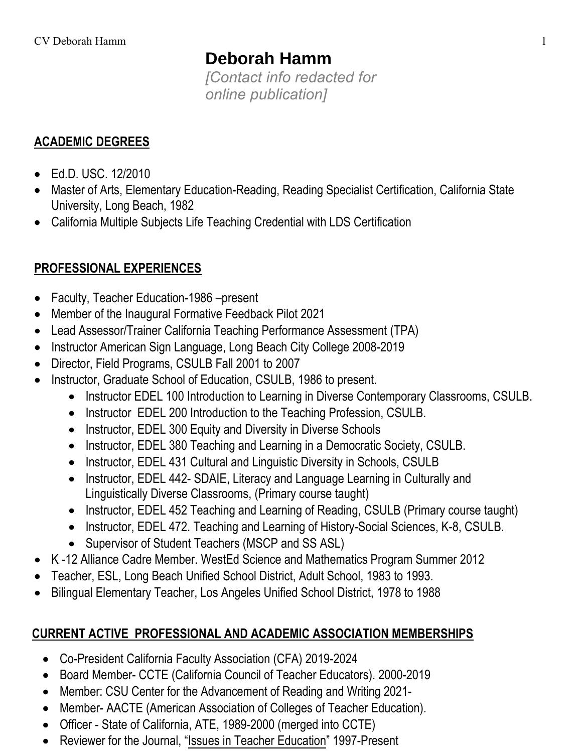# **Deborah Hamm**

*[Contact info redacted for online publication]*

## **ACADEMIC DEGREES**

- Ed.D. USC. 12/2010
- Master of Arts, Elementary Education-Reading, Reading Specialist Certification, California State University, Long Beach, 1982
- California Multiple Subjects Life Teaching Credential with LDS Certification

# **PROFESSIONAL EXPERIENCES**

- Faculty, Teacher Education-1986 –present
- Member of the Inaugural Formative Feedback Pilot 2021
- Lead Assessor/Trainer California Teaching Performance Assessment (TPA)
- Instructor American Sign Language, Long Beach City College 2008-2019
- Director, Field Programs, CSULB Fall 2001 to 2007
- Instructor, Graduate School of Education, CSULB, 1986 to present.
	- Instructor EDEL 100 Introduction to Learning in Diverse Contemporary Classrooms, CSULB.
	- Instructor EDEL 200 Introduction to the Teaching Profession, CSULB.
	- Instructor, EDEL 300 Equity and Diversity in Diverse Schools
	- Instructor, EDEL 380 Teaching and Learning in a Democratic Society, CSULB.
	- Instructor, EDEL 431 Cultural and Linguistic Diversity in Schools, CSULB
	- Instructor, EDEL 442- SDAIE, Literacy and Language Learning in Culturally and Linguistically Diverse Classrooms, (Primary course taught)
	- Instructor, EDEL 452 Teaching and Learning of Reading, CSULB (Primary course taught)
	- Instructor, EDEL 472. Teaching and Learning of History-Social Sciences, K-8, CSULB.
	- Supervisor of Student Teachers (MSCP and SS ASL)
- K -12 Alliance Cadre Member. WestEd Science and Mathematics Program Summer 2012
- Teacher, ESL, Long Beach Unified School District, Adult School, 1983 to 1993.
- Bilingual Elementary Teacher, Los Angeles Unified School District, 1978 to 1988

# **CURRENT ACTIVE PROFESSIONAL AND ACADEMIC ASSOCIATION MEMBERSHIPS**

- Co-President California Faculty Association (CFA) 2019-2024
- Board Member- CCTE (California Council of Teacher Educators). 2000-2019
- Member: CSU Center for the Advancement of Reading and Writing 2021-
- Member- AACTE (American Association of Colleges of Teacher Education).
- Officer State of California, ATE, 1989-2000 (merged into CCTE)
- Reviewer for the Journal, "Issues in Teacher Education" 1997-Present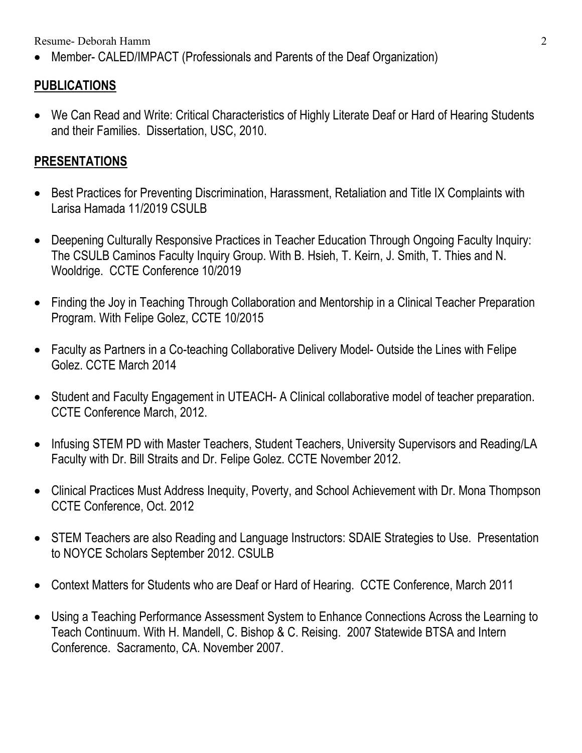Resume- Deborah Hamm 2

• Member- CALED/IMPACT (Professionals and Parents of the Deaf Organization)

### **PUBLICATIONS**

• We Can Read and Write: Critical Characteristics of Highly Literate Deaf or Hard of Hearing Students and their Families. Dissertation, USC, 2010.

#### **PRESENTATIONS**

- Best Practices for Preventing Discrimination, Harassment, Retaliation and Title IX Complaints with Larisa Hamada 11/2019 CSULB
- Deepening Culturally Responsive Practices in Teacher Education Through Ongoing Faculty Inquiry: The CSULB Caminos Faculty Inquiry Group. With B. Hsieh, T. Keirn, J. Smith, T. Thies and N. Wooldrige. CCTE Conference 10/2019
- Finding the Joy in Teaching Through Collaboration and Mentorship in a Clinical Teacher Preparation Program. With Felipe Golez, CCTE 10/2015
- Faculty as Partners in a Co-teaching Collaborative Delivery Model- Outside the Lines with Felipe Golez. CCTE March 2014
- Student and Faculty Engagement in UTEACH- A Clinical collaborative model of teacher preparation. CCTE Conference March, 2012.
- Infusing STEM PD with Master Teachers, Student Teachers, University Supervisors and Reading/LA Faculty with Dr. Bill Straits and Dr. Felipe Golez. CCTE November 2012.
- Clinical Practices Must Address Inequity, Poverty, and School Achievement with Dr. Mona Thompson CCTE Conference, Oct. 2012
- STEM Teachers are also Reading and Language Instructors: SDAIE Strategies to Use. Presentation to NOYCE Scholars September 2012. CSULB
- Context Matters for Students who are Deaf or Hard of Hearing. CCTE Conference, March 2011
- Using a Teaching Performance Assessment System to Enhance Connections Across the Learning to Teach Continuum. With H. Mandell, C. Bishop & C. Reising. 2007 Statewide BTSA and Intern Conference. Sacramento, CA. November 2007.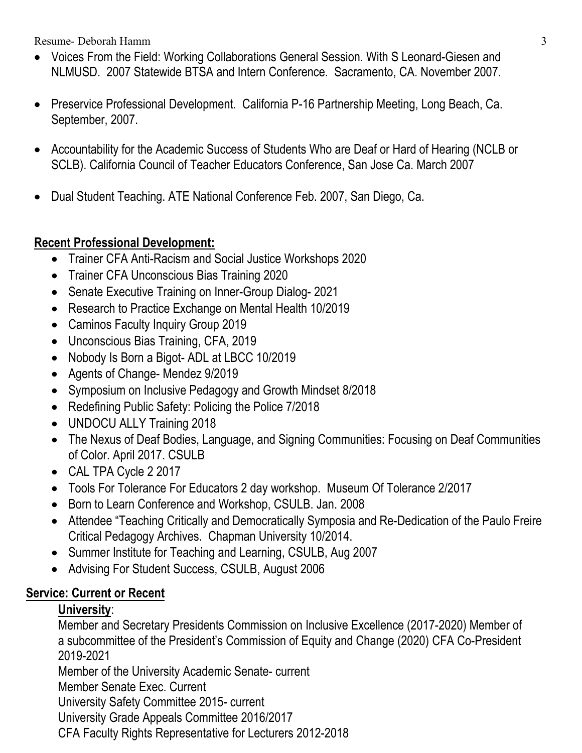Resume- Deborah Hamm 3

- Voices From the Field: Working Collaborations General Session. With S Leonard-Giesen and NLMUSD. 2007 Statewide BTSA and Intern Conference. Sacramento, CA. November 2007.
- Preservice Professional Development. California P-16 Partnership Meeting, Long Beach, Ca. September, 2007.
- Accountability for the Academic Success of Students Who are Deaf or Hard of Hearing (NCLB or SCLB). California Council of Teacher Educators Conference, San Jose Ca. March 2007
- Dual Student Teaching. ATE National Conference Feb. 2007, San Diego, Ca.

#### **Recent Professional Development:**

- Trainer CFA Anti-Racism and Social Justice Workshops 2020
- Trainer CFA Unconscious Bias Training 2020
- Senate Executive Training on Inner-Group Dialog- 2021
- Research to Practice Exchange on Mental Health 10/2019
- Caminos Faculty Inquiry Group 2019
- Unconscious Bias Training, CFA, 2019
- Nobody Is Born a Bigot-ADL at LBCC 10/2019
- Agents of Change- Mendez 9/2019
- Symposium on Inclusive Pedagogy and Growth Mindset 8/2018
- Redefining Public Safety: Policing the Police 7/2018
- UNDOCU ALLY Training 2018
- The Nexus of Deaf Bodies, Language, and Signing Communities: Focusing on Deaf Communities of Color. April 2017. CSULB
- CAL TPA Cycle 2 2017
- Tools For Tolerance For Educators 2 day workshop. Museum Of Tolerance 2/2017
- Born to Learn Conference and Workshop, CSULB. Jan. 2008
- Attendee "Teaching Critically and Democratically Symposia and Re-Dedication of the Paulo Freire Critical Pedagogy Archives. Chapman University 10/2014.
- Summer Institute for Teaching and Learning, CSULB, Aug 2007
- Advising For Student Success, CSULB, August 2006

#### **Service: Current or Recent**

#### **University**:

Member and Secretary Presidents Commission on Inclusive Excellence (2017-2020) Member of a subcommittee of the President's Commission of Equity and Change (2020) CFA Co-President 2019-2021

Member of the University Academic Senate- current

Member Senate Exec. Current

University Safety Committee 2015- current

University Grade Appeals Committee 2016/2017

CFA Faculty Rights Representative for Lecturers 2012-2018